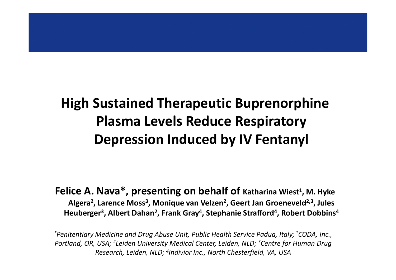#### **High Sustained Therapeutic Buprenorphine Plasma Levels Reduce Respiratory Depression Induced by IV Fentanyl**

**Felice A. Nava\*, presenting on behalf of Katharina Wiest<sup>1</sup> , M. Hyke Algera<sup>2</sup> , Larence Moss<sup>3</sup> , Monique van Velzen<sup>2</sup> , Geert Jan Groeneveld2,3, Jules Heuberger<sup>3</sup> , Albert Dahan<sup>2</sup> , Frank Gray<sup>4</sup> , Stephanie Strafford<sup>4</sup> , Robert Dobbins<sup>4</sup>**

*\*Penitentiary Medicine and Drug Abuse Unit, Public Health Service Padua, Italy; <sup>1</sup>CODA, Inc., Portland, OR, USA; <sup>2</sup>Leiden University Medical Center, Leiden, NLD; <sup>3</sup>Centre for Human Drug Research, Leiden, NLD; <sup>4</sup> Indivior Inc., North Chesterfield, VA, USA*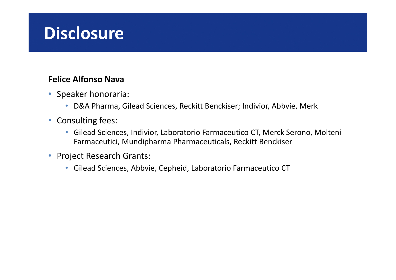#### **Disclosure**

#### **Felice Alfonso Nava**

- Speaker honoraria:
	- D&A Pharma, Gilead Sciences, Reckitt Benckiser; Indivior, Abbvie, Merk
- Consulting fees:
	- Gilead Sciences, Indivior, Laboratorio Farmaceutico CT, Merck Serono, Molteni Farmaceutici, Mundipharma Pharmaceuticals, Reckitt Benckiser
- Project Research Grants:
	- Gilead Sciences, Abbvie, Cepheid, Laboratorio Farmaceutico CT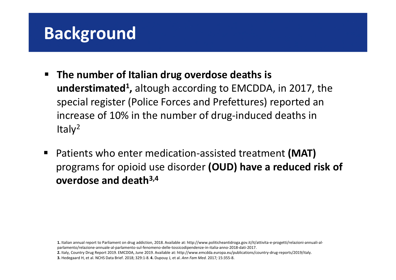#### **Background**

- **The number of Italian drug overdose deaths is understimated<sup>1</sup> ,** altough according to EMCDDA, in 2017, the special register (Police Forces and Prefettures) reported an increase of 10% in the number of drug-induced deaths in Ital $v^2$
- Patients who enter medication-assisted treatment **(MAT)**  programs for opioid use disorder **(OUD) have a reduced risk of overdose and death3,4**

**1.** Italian annual report to Parliament on drug addiction, 2018. Available at: http://www.politicheantidroga.gov.it/it/attivita-e-progetti/relazioni-annuali-alparlamento/relazione-annuale-al-parlamento-sul-fenomeno-delle-tossicodipendenze-in-italia-anno-2018-dati-2017.

**2.** Italy, Country Drug Report 2019. EMCDDA, June 2019. Available at: http://www.emcdda.europa.eu/publications/country-drug-reports/2019/italy. **3.** Hedegaard H, et al. NCHS Data Brief. 2018; 329:1-8. **4.** Dupouy J, et al. *Ann Fam Med.* 2017*;* 15:355-8.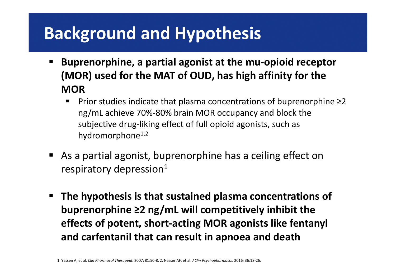## **Background and Hypothesis**

- **Buprenorphine, a partial agonist at the mu-opioid receptor (MOR) used for the MAT of OUD, has high affinity for the MOR**
	- Prior studies indicate that plasma concentrations of buprenorphine ≥2 ng/mL achieve 70%-80% brain MOR occupancy and block the subjective drug-liking effect of full opioid agonists, such as hydromorphone<sup>1,2</sup>
- As a partial agonist, buprenorphine has a ceiling effect on respiratory depression $1$
- **The hypothesis is that sustained plasma concentrations of buprenorphine ≥2 ng/mL will competitively inhibit the effects of potent, short-acting MOR agonists like fentanyl and carfentanil that can result in apnoea and death**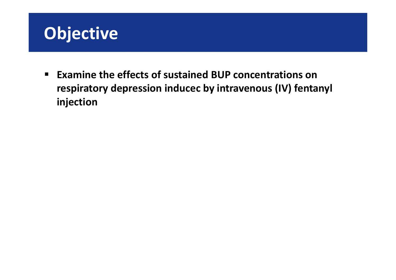

 **Examine the effects of sustained BUP concentrations on respiratory depression inducec by intravenous (IV) fentanyl injection**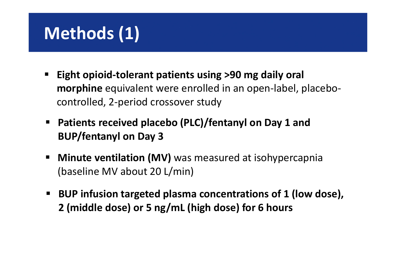## **Methods (1)**

- **Eight opioid-tolerant patients using >90 mg daily oral morphine** equivalent were enrolled in an open-label, placebocontrolled, 2-period crossover study
- **Patients received placebo (PLC)/fentanyl on Day 1 and BUP/fentanyl on Day 3**
- **Minute ventilation (MV)** was measured at isohypercapnia (baseline MV about 20 L/min)
- BUP infusion targeted plasma concentrations of 1 (low dose), **2 (middle dose) or 5 ng/mL (high dose) for 6 hours**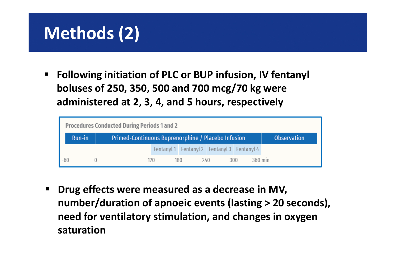## **Methods (2)**

**Fig. 2** Following initiation of PLC or BUP infusion, IV fentanyl **boluses of 250, 350, 500 and 700 mcg/70 kg were administered at 2, 3, 4, and 5 hours, respectively**

|     | Procedures Conducted During Periods 1 and 2 |                                                    |                    |  |            |  |                                             |  |  |
|-----|---------------------------------------------|----------------------------------------------------|--------------------|--|------------|--|---------------------------------------------|--|--|
|     | Run-in                                      | Primed-Continuous Buprenorphine / Placebo Infusion | <b>Observation</b> |  |            |  |                                             |  |  |
|     |                                             |                                                    |                    |  |            |  | Fentanyl 1 Fentanyl 2 Fentanyl 3 Fentanyl 4 |  |  |
| -60 |                                             |                                                    | 120                |  | 180<br>240 |  | 360 min<br>300                              |  |  |

**P** Drug effects were measured as a decrease in MV, **number/duration of apnoeic events (lasting > 20 seconds), need for ventilatory stimulation, and changes in oxygen saturation**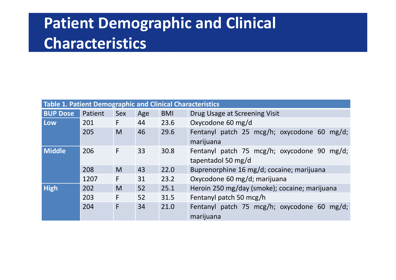#### **Patient Demographic and Clinical Characteristics**

| Table 1. Patient Demographic and Clinical Characteristics |         |            |     |            |                                                                   |  |  |
|-----------------------------------------------------------|---------|------------|-----|------------|-------------------------------------------------------------------|--|--|
| <b>BUP Dose</b>                                           | Patient | <b>Sex</b> | Age | <b>BMI</b> | Drug Usage at Screening Visit                                     |  |  |
| Low                                                       | 201     | F          | 44  | 23.6       | Oxycodone 60 mg/d                                                 |  |  |
|                                                           | 205     | M          | 46  | 29.6       | Fentanyl patch 25 mcg/h; oxycodone 60 mg/d;<br>marijuana          |  |  |
| <b>Middle</b>                                             | 206     | F          | 33  | 30.8       | Fentanyl patch 75 mcg/h; oxycodone 90 mg/d;<br>tapentadol 50 mg/d |  |  |
|                                                           | 208     | M          | 43  | 22.0       | Buprenorphine 16 mg/d; cocaine; marijuana                         |  |  |
|                                                           | 1207    | F          | 31  | 23.2       | Oxycodone 60 mg/d; marijuana                                      |  |  |
| <b>High</b>                                               | 202     | M          | 52  | 25.1       | Heroin 250 mg/day (smoke); cocaine; marijuana                     |  |  |
|                                                           | 203     | F          | 52  | 31.5       | Fentanyl patch 50 mcg/h                                           |  |  |
|                                                           | 204     | F          | 34  | 21.0       | Fentanyl patch 75 mcg/h; oxycodone 60 mg/d;<br>marijuana          |  |  |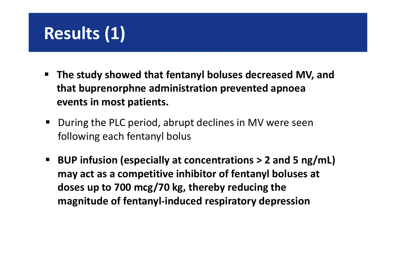## **Results (1)**

- **The study showed that fentanyl boluses decreased MV, and that buprenorphne administration prevented apnoea events in most patients.**
- During the PLC period, abrupt declines in MV were seen following each fentanyl bolus
- **BUP infusion (especially at concentrations > 2 and 5 ng/mL) may act as a competitive inhibitor of fentanyl boluses at doses up to 700 mcg/70 kg, thereby reducing the magnitude of fentanyl-induced respiratory depression**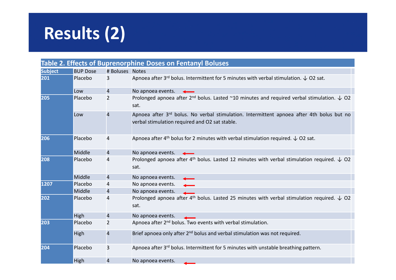# **Results (2)**

| <b>Table 2. Effects of Buprenorphine Doses on Fentanyl Boluses</b> |                 |                 |                                                                                                                                                         |  |  |  |
|--------------------------------------------------------------------|-----------------|-----------------|---------------------------------------------------------------------------------------------------------------------------------------------------------|--|--|--|
| <b>Subject</b>                                                     | <b>BUP Dose</b> | # Boluses Notes |                                                                                                                                                         |  |  |  |
| 201                                                                | Placebo         | 3               | Apnoea after 3 <sup>rd</sup> bolus. Intermittent for 5 minutes with verbal stimulation. $\downarrow$ O2 sat.                                            |  |  |  |
|                                                                    | Low             | 4               | No apnoea events.                                                                                                                                       |  |  |  |
| 205                                                                | Placebo         | $\overline{2}$  | Prolonged apnoea after 2 <sup>nd</sup> bolus. Lasted ~10 minutes and required verbal stimulation. $\downarrow$ O2<br>sat.                               |  |  |  |
|                                                                    | Low             | 4               | Apnoea after 3 <sup>rd</sup> bolus. No verbal stimulation. Intermittent apnoea after 4th bolus but no<br>verbal stimulation required and O2 sat stable. |  |  |  |
| 206                                                                | Placebo         | 4               | Apnoea after 4 <sup>th</sup> bolus for 2 minutes with verbal stimulation required. $\downarrow$ O2 sat.                                                 |  |  |  |
|                                                                    | Middle          | 4               | No apnoea events.                                                                                                                                       |  |  |  |
| 208                                                                | Placebo         | 4               | Prolonged apnoea after 4 <sup>th</sup> bolus. Lasted 12 minutes with verbal stimulation required. $\downarrow$ O2<br>sat.                               |  |  |  |
|                                                                    | Middle          | 4               | No apnoea events.                                                                                                                                       |  |  |  |
| 1207                                                               | Placebo         | 4               | No apnoea events.                                                                                                                                       |  |  |  |
|                                                                    | Middle          | 4               | No apnoea events.                                                                                                                                       |  |  |  |
| 202                                                                | Placebo         | 4               | Prolonged apnoea after 4 <sup>th</sup> bolus. Lasted 25 minutes with verbal stimulation required. $\downarrow$ O2<br>sat.                               |  |  |  |
|                                                                    | High            | 4               | No apnoea events.                                                                                                                                       |  |  |  |
| 203                                                                | Placebo         | $\overline{2}$  | Apnoea after 2 <sup>nd</sup> bolus. Two events with verbal stimulation.                                                                                 |  |  |  |
|                                                                    | High            | 4               | Brief apnoea only after 2 <sup>nd</sup> bolus and verbal stimulation was not required.                                                                  |  |  |  |
| 204                                                                | Placebo         | 3               | Apnoea after 3rd bolus. Intermittent for 5 minutes with unstable breathing pattern.                                                                     |  |  |  |
|                                                                    | High            | 4               | No apnoea events.                                                                                                                                       |  |  |  |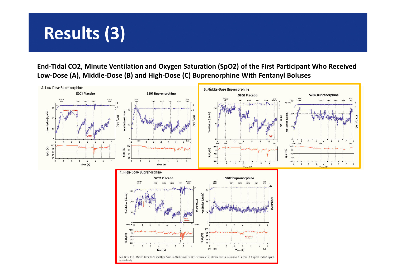## **Results (3)**

**End-Tidal CO2, Minute Ventilation and Oxygen Saturation (SpO2) of the First Participant Who Received Low-Dose (A), Middle-Dose (B) and High-Dose (C) Buprenorphine With Fentanyl Boluses**

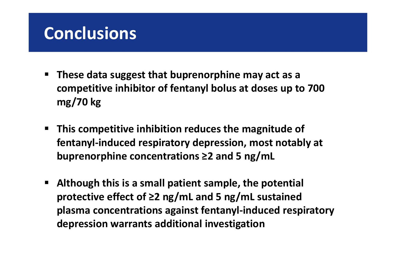#### **Conclusions**

- **These data suggest that buprenorphine may act as a competitive inhibitor of fentanyl bolus at doses up to 700 mg/70 kg**
- **This competitive inhibition reduces the magnitude of fentanyl-induced respiratory depression, most notably at buprenorphine concentrations ≥2 and 5 ng/mL**
- **Although this is a small patient sample, the potential protective effect of ≥2 ng/mL and 5 ng/mL sustained plasma concentrations against fentanyl-induced respiratory depression warrants additional investigation**